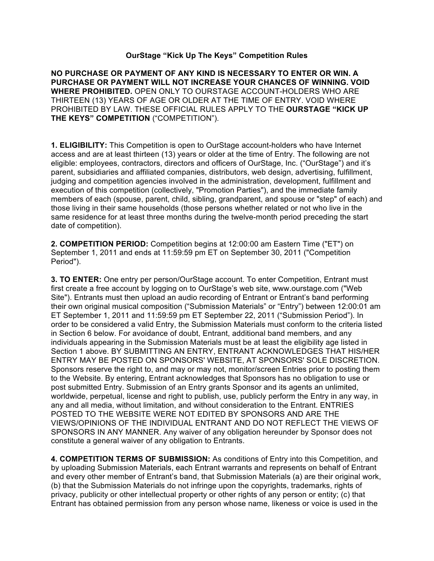#### **OurStage "Kick Up The Keys" Competition Rules**

**NO PURCHASE OR PAYMENT OF ANY KIND IS NECESSARY TO ENTER OR WIN. A PURCHASE OR PAYMENT WILL NOT INCREASE YOUR CHANCES OF WINNING. VOID WHERE PROHIBITED.** OPEN ONLY TO OURSTAGE ACCOUNT-HOLDERS WHO ARE THIRTEEN (13) YEARS OF AGE OR OLDER AT THE TIME OF ENTRY. VOID WHERE PROHIBITED BY LAW. THESE OFFICIAL RULES APPLY TO THE **OURSTAGE "KICK UP THE KEYS" COMPETITION** ("COMPETITION").

**1. ELIGIBILITY:** This Competition is open to OurStage account-holders who have Internet access and are at least thirteen (13) years or older at the time of Entry. The following are not eligible: employees, contractors, directors and officers of OurStage, Inc. ("OurStage") and it's parent, subsidiaries and affiliated companies, distributors, web design, advertising, fulfillment, judging and competition agencies involved in the administration, development, fulfillment and execution of this competition (collectively, "Promotion Parties"), and the immediate family members of each (spouse, parent, child, sibling, grandparent, and spouse or "step" of each) and those living in their same households (those persons whether related or not who live in the same residence for at least three months during the twelve-month period preceding the start date of competition).

**2. COMPETITION PERIOD:** Competition begins at 12:00:00 am Eastern Time ("ET") on September 1, 2011 and ends at 11:59:59 pm ET on September 30, 2011 ("Competition Period").

**3. TO ENTER:** One entry per person/OurStage account. To enter Competition, Entrant must first create a free account by logging on to OurStage's web site, www.ourstage.com ("Web Site"). Entrants must then upload an audio recording of Entrant or Entrant's band performing their own original musical composition ("Submission Materials" or "Entry") between 12:00:01 am ET September 1, 2011 and 11:59:59 pm ET September 22, 2011 ("Submission Period"). In order to be considered a valid Entry, the Submission Materials must conform to the criteria listed in Section 6 below. For avoidance of doubt, Entrant, additional band members, and any individuals appearing in the Submission Materials must be at least the eligibility age listed in Section 1 above. BY SUBMITTING AN ENTRY, ENTRANT ACKNOWLEDGES THAT HIS/HER ENTRY MAY BE POSTED ON SPONSORS' WEBSITE, AT SPONSORS' SOLE DISCRETION. Sponsors reserve the right to, and may or may not, monitor/screen Entries prior to posting them to the Website. By entering, Entrant acknowledges that Sponsors has no obligation to use or post submitted Entry. Submission of an Entry grants Sponsor and its agents an unlimited, worldwide, perpetual, license and right to publish, use, publicly perform the Entry in any way, in any and all media, without limitation, and without consideration to the Entrant. ENTRIES POSTED TO THE WEBSITE WERE NOT EDITED BY SPONSORS AND ARE THE VIEWS/OPINIONS OF THE INDIVIDUAL ENTRANT AND DO NOT REFLECT THE VIEWS OF SPONSORS IN ANY MANNER. Any waiver of any obligation hereunder by Sponsor does not constitute a general waiver of any obligation to Entrants.

**4. COMPETITION TERMS OF SUBMISSION:** As conditions of Entry into this Competition, and by uploading Submission Materials, each Entrant warrants and represents on behalf of Entrant and every other member of Entrant's band, that Submission Materials (a) are their original work. (b) that the Submission Materials do not infringe upon the copyrights, trademarks, rights of privacy, publicity or other intellectual property or other rights of any person or entity; (c) that Entrant has obtained permission from any person whose name, likeness or voice is used in the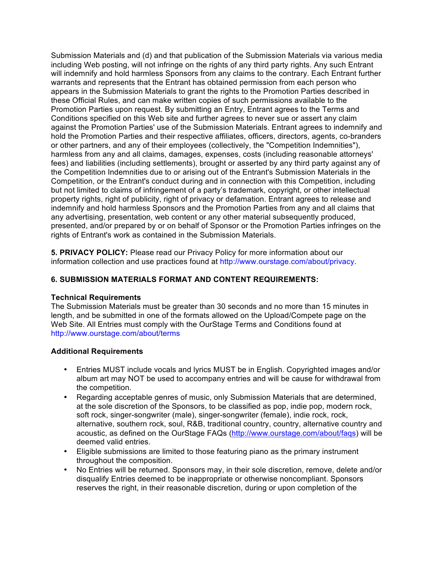Submission Materials and (d) and that publication of the Submission Materials via various media including Web posting, will not infringe on the rights of any third party rights. Any such Entrant will indemnify and hold harmless Sponsors from any claims to the contrary. Each Entrant further warrants and represents that the Entrant has obtained permission from each person who appears in the Submission Materials to grant the rights to the Promotion Parties described in these Official Rules, and can make written copies of such permissions available to the Promotion Parties upon request. By submitting an Entry, Entrant agrees to the Terms and Conditions specified on this Web site and further agrees to never sue or assert any claim against the Promotion Parties' use of the Submission Materials. Entrant agrees to indemnify and hold the Promotion Parties and their respective affiliates, officers, directors, agents, co-branders or other partners, and any of their employees (collectively, the "Competition Indemnities"), harmless from any and all claims, damages, expenses, costs (including reasonable attorneys' fees) and liabilities (including settlements), brought or asserted by any third party against any of the Competition Indemnities due to or arising out of the Entrant's Submission Materials in the Competition, or the Entrant's conduct during and in connection with this Competition, including but not limited to claims of infringement of a party's trademark, copyright, or other intellectual property rights, right of publicity, right of privacy or defamation. Entrant agrees to release and indemnify and hold harmless Sponsors and the Promotion Parties from any and all claims that any advertising, presentation, web content or any other material subsequently produced, presented, and/or prepared by or on behalf of Sponsor or the Promotion Parties infringes on the rights of Entrant's work as contained in the Submission Materials.

**5. PRIVACY POLICY:** Please read our Privacy Policy for more information about our information collection and use practices found at http://www.ourstage.com/about/privacy.

# **6. SUBMISSION MATERIALS FORMAT AND CONTENT REQUIREMENTS:**

## **Technical Requirements**

The Submission Materials must be greater than 30 seconds and no more than 15 minutes in length, and be submitted in one of the formats allowed on the Upload/Compete page on the Web Site. All Entries must comply with the OurStage Terms and Conditions found at http://www.ourstage.com/about/terms

## **Additional Requirements**

- Entries MUST include vocals and lyrics MUST be in English. Copyrighted images and/or album art may NOT be used to accompany entries and will be cause for withdrawal from the competition.
- Regarding acceptable genres of music, only Submission Materials that are determined, at the sole discretion of the Sponsors, to be classified as pop, indie pop, modern rock, soft rock, singer-songwriter (male), singer-songwriter (female), indie rock, rock, alternative, southern rock, soul, R&B, traditional country, country, alternative country and acoustic, as defined on the OurStage FAQs (http://www.ourstage.com/about/faqs) will be deemed valid entries.
- Eligible submissions are limited to those featuring piano as the primary instrument throughout the composition.
- No Entries will be returned. Sponsors may, in their sole discretion, remove, delete and/or disqualify Entries deemed to be inappropriate or otherwise noncompliant. Sponsors reserves the right, in their reasonable discretion, during or upon completion of the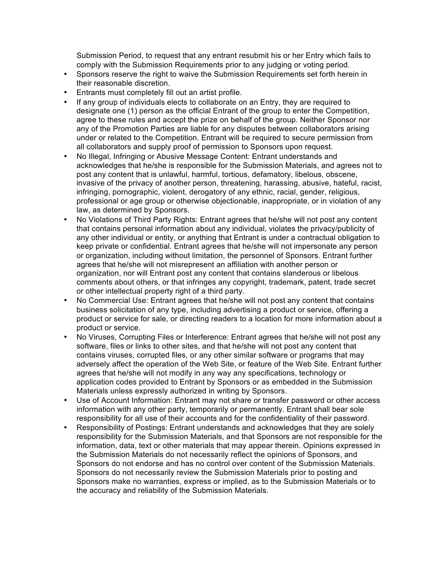Submission Period, to request that any entrant resubmit his or her Entry which fails to comply with the Submission Requirements prior to any judging or voting period.

- Sponsors reserve the right to waive the Submission Requirements set forth herein in their reasonable discretion.
- Entrants must completely fill out an artist profile.
- If any group of individuals elects to collaborate on an Entry, they are required to designate one (1) person as the official Entrant of the group to enter the Competition, agree to these rules and accept the prize on behalf of the group. Neither Sponsor nor any of the Promotion Parties are liable for any disputes between collaborators arising under or related to the Competition. Entrant will be required to secure permission from all collaborators and supply proof of permission to Sponsors upon request.
- No Illegal, Infringing or Abusive Message Content: Entrant understands and acknowledges that he/she is responsible for the Submission Materials, and agrees not to post any content that is unlawful, harmful, tortious, defamatory, libelous, obscene, invasive of the privacy of another person, threatening, harassing, abusive, hateful, racist, infringing, pornographic, violent, derogatory of any ethnic, racial, gender, religious, professional or age group or otherwise objectionable, inappropriate, or in violation of any law, as determined by Sponsors.
- No Violations of Third Party Rights: Entrant agrees that he/she will not post any content that contains personal information about any individual, violates the privacy/publicity of any other individual or entity, or anything that Entrant is under a contractual obligation to keep private or confidential. Entrant agrees that he/she will not impersonate any person or organization, including without limitation, the personnel of Sponsors. Entrant further agrees that he/she will not misrepresent an affiliation with another person or organization, nor will Entrant post any content that contains slanderous or libelous comments about others, or that infringes any copyright, trademark, patent, trade secret or other intellectual property right of a third party.
- No Commercial Use: Entrant agrees that he/she will not post any content that contains business solicitation of any type, including advertising a product or service, offering a product or service for sale, or directing readers to a location for more information about a product or service.
- No Viruses, Corrupting Files or Interference: Entrant agrees that he/she will not post any software, files or links to other sites, and that he/she will not post any content that contains viruses, corrupted files, or any other similar software or programs that may adversely affect the operation of the Web Site, or feature of the Web Site. Entrant further agrees that he/she will not modify in any way any specifications, technology or application codes provided to Entrant by Sponsors or as embedded in the Submission Materials unless expressly authorized in writing by Sponsors.
- Use of Account Information: Entrant may not share or transfer password or other access information with any other party, temporarily or permanently. Entrant shall bear sole responsibility for all use of their accounts and for the confidentiality of their password.
- Responsibility of Postings: Entrant understands and acknowledges that they are solely responsibility for the Submission Materials, and that Sponsors are not responsible for the information, data, text or other materials that may appear therein. Opinions expressed in the Submission Materials do not necessarily reflect the opinions of Sponsors, and Sponsors do not endorse and has no control over content of the Submission Materials. Sponsors do not necessarily review the Submission Materials prior to posting and Sponsors make no warranties, express or implied, as to the Submission Materials or to the accuracy and reliability of the Submission Materials.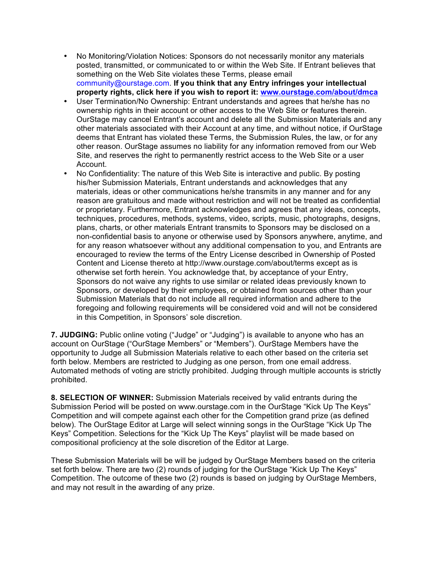- No Monitoring/Violation Notices: Sponsors do not necessarily monitor any materials posted, transmitted, or communicated to or within the Web Site. If Entrant believes that something on the Web Site violates these Terms, please email community@ourstage.com. **If you think that any Entry infringes your intellectual property rights, click here if you wish to report it: www.ourstage.com/about/dmca**
- User Termination/No Ownership: Entrant understands and agrees that he/she has no ownership rights in their account or other access to the Web Site or features therein. OurStage may cancel Entrant's account and delete all the Submission Materials and any other materials associated with their Account at any time, and without notice, if OurStage deems that Entrant has violated these Terms, the Submission Rules, the law, or for any other reason. OurStage assumes no liability for any information removed from our Web Site, and reserves the right to permanently restrict access to the Web Site or a user Account.
- No Confidentiality: The nature of this Web Site is interactive and public. By posting his/her Submission Materials, Entrant understands and acknowledges that any materials, ideas or other communications he/she transmits in any manner and for any reason are gratuitous and made without restriction and will not be treated as confidential or proprietary. Furthermore, Entrant acknowledges and agrees that any ideas, concepts, techniques, procedures, methods, systems, video, scripts, music, photographs, designs, plans, charts, or other materials Entrant transmits to Sponsors may be disclosed on a non-confidential basis to anyone or otherwise used by Sponsors anywhere, anytime, and for any reason whatsoever without any additional compensation to you, and Entrants are encouraged to review the terms of the Entry License described in Ownership of Posted Content and License thereto at http://www.ourstage.com/about/terms except as is otherwise set forth herein. You acknowledge that, by acceptance of your Entry, Sponsors do not waive any rights to use similar or related ideas previously known to Sponsors, or developed by their employees, or obtained from sources other than your Submission Materials that do not include all required information and adhere to the foregoing and following requirements will be considered void and will not be considered in this Competition, in Sponsors' sole discretion.

**7. JUDGING:** Public online voting ("Judge" or "Judging") is available to anyone who has an account on OurStage ("OurStage Members" or "Members"). OurStage Members have the opportunity to Judge all Submission Materials relative to each other based on the criteria set forth below. Members are restricted to Judging as one person, from one email address. Automated methods of voting are strictly prohibited. Judging through multiple accounts is strictly prohibited.

**8. SELECTION OF WINNER:** Submission Materials received by valid entrants during the Submission Period will be posted on www.ourstage.com in the OurStage "Kick Up The Keys" Competition and will compete against each other for the Competition grand prize (as defined below). The OurStage Editor at Large will select winning songs in the OurStage "Kick Up The Keys" Competition. Selections for the "Kick Up The Keys" playlist will be made based on compositional proficiency at the sole discretion of the Editor at Large.

These Submission Materials will be will be judged by OurStage Members based on the criteria set forth below. There are two (2) rounds of judging for the OurStage "Kick Up The Keys" Competition. The outcome of these two (2) rounds is based on judging by OurStage Members, and may not result in the awarding of any prize.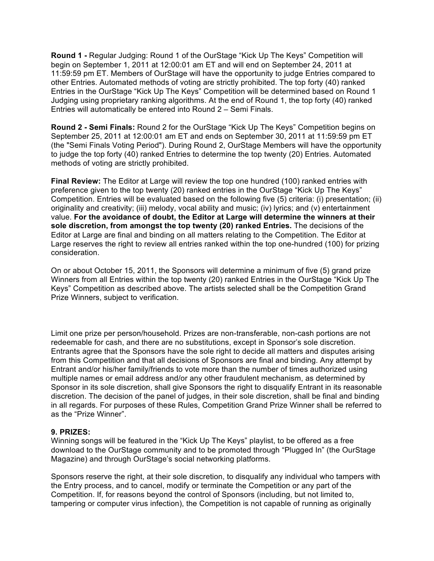**Round 1 -** Regular Judging: Round 1 of the OurStage "Kick Up The Keys" Competition will begin on September 1, 2011 at 12:00:01 am ET and will end on September 24, 2011 at 11:59:59 pm ET. Members of OurStage will have the opportunity to judge Entries compared to other Entries. Automated methods of voting are strictly prohibited. The top forty (40) ranked Entries in the OurStage "Kick Up The Keys" Competition will be determined based on Round 1 Judging using proprietary ranking algorithms. At the end of Round 1, the top forty (40) ranked Entries will automatically be entered into Round 2 – Semi Finals.

**Round 2 - Semi Finals:** Round 2 for the OurStage "Kick Up The Keys" Competition begins on September 25, 2011 at 12:00:01 am ET and ends on September 30, 2011 at 11:59:59 pm ET (the "Semi Finals Voting Period"). During Round 2, OurStage Members will have the opportunity to judge the top forty (40) ranked Entries to determine the top twenty (20) Entries. Automated methods of voting are strictly prohibited.

**Final Review:** The Editor at Large will review the top one hundred (100) ranked entries with preference given to the top twenty (20) ranked entries in the OurStage "Kick Up The Keys" Competition. Entries will be evaluated based on the following five (5) criteria: (i) presentation; (ii) originality and creativity; (iii) melody, vocal ability and music; (iv) lyrics; and (v) entertainment value. **For the avoidance of doubt, the Editor at Large will determine the winners at their sole discretion, from amongst the top twenty (20) ranked Entries.** The decisions of the Editor at Large are final and binding on all matters relating to the Competition. The Editor at Large reserves the right to review all entries ranked within the top one-hundred (100) for prizing consideration.

On or about October 15, 2011, the Sponsors will determine a minimum of five (5) grand prize Winners from all Entries within the top twenty (20) ranked Entries in the OurStage "Kick Up The Keys" Competition as described above. The artists selected shall be the Competition Grand Prize Winners, subject to verification.

Limit one prize per person/household. Prizes are non-transferable, non-cash portions are not redeemable for cash, and there are no substitutions, except in Sponsor's sole discretion. Entrants agree that the Sponsors have the sole right to decide all matters and disputes arising from this Competition and that all decisions of Sponsors are final and binding. Any attempt by Entrant and/or his/her family/friends to vote more than the number of times authorized using multiple names or email address and/or any other fraudulent mechanism, as determined by Sponsor in its sole discretion, shall give Sponsors the right to disqualify Entrant in its reasonable discretion. The decision of the panel of judges, in their sole discretion, shall be final and binding in all regards. For purposes of these Rules, Competition Grand Prize Winner shall be referred to as the "Prize Winner".

#### **9. PRIZES:**

Winning songs will be featured in the "Kick Up The Keys" playlist, to be offered as a free download to the OurStage community and to be promoted through "Plugged In" (the OurStage Magazine) and through OurStage's social networking platforms.

Sponsors reserve the right, at their sole discretion, to disqualify any individual who tampers with the Entry process, and to cancel, modify or terminate the Competition or any part of the Competition. If, for reasons beyond the control of Sponsors (including, but not limited to, tampering or computer virus infection), the Competition is not capable of running as originally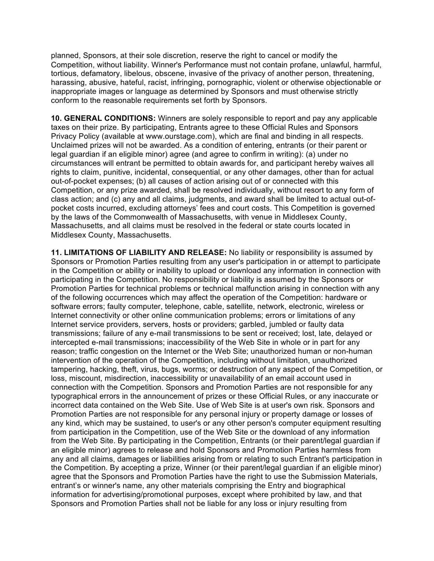planned, Sponsors, at their sole discretion, reserve the right to cancel or modify the Competition, without liability. Winner's Performance must not contain profane, unlawful, harmful, tortious, defamatory, libelous, obscene, invasive of the privacy of another person, threatening, harassing, abusive, hateful, racist, infringing, pornographic, violent or otherwise objectionable or inappropriate images or language as determined by Sponsors and must otherwise strictly conform to the reasonable requirements set forth by Sponsors.

**10. GENERAL CONDITIONS:** Winners are solely responsible to report and pay any applicable taxes on their prize. By participating, Entrants agree to these Official Rules and Sponsors Privacy Policy (available at www.ourstage.com), which are final and binding in all respects. Unclaimed prizes will not be awarded. As a condition of entering, entrants (or their parent or legal guardian if an eligible minor) agree (and agree to confirm in writing): (a) under no circumstances will entrant be permitted to obtain awards for, and participant hereby waives all rights to claim, punitive, incidental, consequential, or any other damages, other than for actual out-of-pocket expenses; (b) all causes of action arising out of or connected with this Competition, or any prize awarded, shall be resolved individually, without resort to any form of class action; and (c) any and all claims, judgments, and award shall be limited to actual out-ofpocket costs incurred, excluding attorneys' fees and court costs. This Competition is governed by the laws of the Commonwealth of Massachusetts, with venue in Middlesex County, Massachusetts, and all claims must be resolved in the federal or state courts located in Middlesex County, Massachusetts.

**11. LIMITATIONS OF LIABILITY AND RELEASE:** No liability or responsibility is assumed by Sponsors or Promotion Parties resulting from any user's participation in or attempt to participate in the Competition or ability or inability to upload or download any information in connection with participating in the Competition. No responsibility or liability is assumed by the Sponsors or Promotion Parties for technical problems or technical malfunction arising in connection with any of the following occurrences which may affect the operation of the Competition: hardware or software errors; faulty computer, telephone, cable, satellite, network, electronic, wireless or Internet connectivity or other online communication problems; errors or limitations of any Internet service providers, servers, hosts or providers; garbled, jumbled or faulty data transmissions; failure of any e-mail transmissions to be sent or received; lost, late, delayed or intercepted e-mail transmissions; inaccessibility of the Web Site in whole or in part for any reason; traffic congestion on the Internet or the Web Site; unauthorized human or non-human intervention of the operation of the Competition, including without limitation, unauthorized tampering, hacking, theft, virus, bugs, worms; or destruction of any aspect of the Competition, or loss, miscount, misdirection, inaccessibility or unavailability of an email account used in connection with the Competition. Sponsors and Promotion Parties are not responsible for any typographical errors in the announcement of prizes or these Official Rules, or any inaccurate or incorrect data contained on the Web Site. Use of Web Site is at user's own risk. Sponsors and Promotion Parties are not responsible for any personal injury or property damage or losses of any kind, which may be sustained, to user's or any other person's computer equipment resulting from participation in the Competition, use of the Web Site or the download of any information from the Web Site. By participating in the Competition, Entrants (or their parent/legal guardian if an eligible minor) agrees to release and hold Sponsors and Promotion Parties harmless from any and all claims, damages or liabilities arising from or relating to such Entrant's participation in the Competition. By accepting a prize, Winner (or their parent/legal guardian if an eligible minor) agree that the Sponsors and Promotion Parties have the right to use the Submission Materials, entrant's or winner's name, any other materials comprising the Entry and biographical information for advertising/promotional purposes, except where prohibited by law, and that Sponsors and Promotion Parties shall not be liable for any loss or injury resulting from